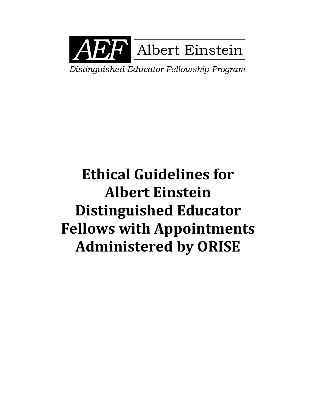

Distinguished Educator Fellowship Program

# **Ethical Guidelines for Albert Einstein Distinguished Educator Fellows with Appointments Administered by ORISE**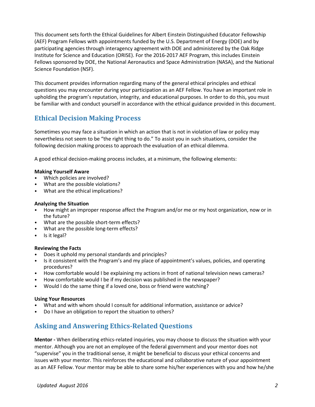This document sets forth the Ethical Guidelines for Albert Einstein Distinguished Educator Fellowship (AEF) Program Fellows with appointments funded by the U.S. Department of Energy (DOE) and by participating agencies through interagency agreement with DOE and administered by the Oak Ridge Institute for Science and Education (ORISE). For the 2016-2017 AEF Program, this includes Einstein Fellows sponsored by DOE, the National Aeronautics and Space Administration (NASA), and the National Science Foundation (NSF).

This document provides information regarding many of the general ethical principles and ethical questions you may encounter during your participation as an AEF Fellow. You have an important role in upholding the program's reputation, integrity, and educational purposes. In order to do this, you must be familiar with and conduct yourself in accordance with the ethical guidance provided in this document.

### **Ethical Decision Making Process**

Sometimes you may face a situation in which an action that is not in violation of law or policy may nevertheless not seem to be "the right thing to do." To assist you in such situations, consider the following decision making process to approach the evaluation of an ethical dilemma.

A good ethical decision-making process includes, at a minimum, the following elements:

#### **Making Yourself Aware**

- Which policies are involved?
- What are the possible violations?
- What are the ethical implications?

#### **Analyzing the Situation**

- How might an improper response affect the Program and/or me or my host organization, now or in the future?
- What are the possible short-term effects?
- What are the possible long-term effects?
- Is it legal?

#### **Reviewing the Facts**

- Does it uphold my personal standards and principles?
- Is it consistent with the Program's and my place of appointment's values, policies, and operating procedures?
- How comfortable would I be explaining my actions in front of national television news cameras?
- How comfortable would I be if my decision was published in the newspaper?
- Would I do the same thing if a loved one, boss or friend were watching?

#### **Using Your Resources**

- What and with whom should I consult for additional information, assistance or advice?
- Do I have an obligation to report the situation to others?

## **Asking and Answering Ethics-Related Questions**

**Mentor -** When deliberating ethics-related inquiries, you may choose to discuss the situation with your mentor. Although you are not an employee of the federal government and your mentor does not "supervise" you in the traditional sense, it might be beneficial to discuss your ethical concerns and issues with your mentor. This reinforces the educational and collaborative nature of your appointment as an AEF Fellow. Your mentor may be able to share some his/her experiences with you and how he/she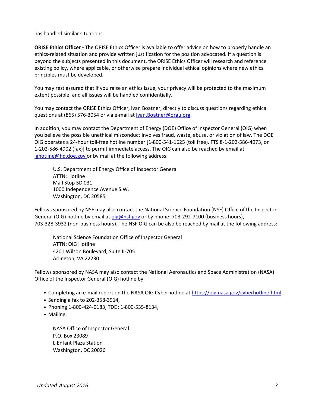has handled similar situations.

**ORISE Ethics Officer -** The ORISE Ethics Officer is available to offer advice on how to properly handle an ethics-related situation and provide written justification for the position advocated. If a question is beyond the subjects presented in this document, the ORISE Ethics Officer will research and reference existing policy, where applicable, or otherwise prepare individual ethical opinions where new ethics principles must be developed.

You may rest assured that if you raise an ethics issue, your privacy will be protected to the maximum extent possible, and all issues will be handled confidentially.

You may contact the ORISE Ethics Officer, Ivan Boatner, directly to discuss questions regarding ethical questions at (865) 576-3054 or via e-mail a[t Ivan.Boatner@orau.org.](mailto:Ivan.Boatner@orau.org)

In addition, you may contact the Department of Energy (DOE) Office of Inspector General (OIG) when you believe the possible unethical misconduct involves fraud, waste, abuse, or violation of law. The DOE OIG operates a 24-hour toll-free hotline number [1-800-541-1625 (toll free), FTS 8-1-202-586-4073, or 1-202-586-4902 (fax)] to permit immediate access. The OIG can also be reached by email at [ighotline@hq.doe.gov o](mailto:ighotline@hq.doe.gov)r by mail at the following address:

U.S. Department of Energy Office of Inspector General ATTN: Hotline Mail Stop 5D 031 1000 Independence Avenue S.W. Washington, DC 20585

Fellows sponsored by NSF may also contact the National Science Foundation (NSF) Office of the Inspector General (OIG) hotline by email a[t oig@nsf.gov](mailto:oig@nsf.gov) or by phone: 703-292-7100 (business hours), 703-328-3932 (non-business hours). The NSF OIG can be also be reached by mail at the following address:

National Science Foundation Office of Inspector General ATTN: OIG Hotline 4201 Wilson Boulevard, Suite II-705 Arlington, VA 22230

Fellows sponsored by NASA may also contact the National Aeronautics and Space Administration (NASA) Office of the Inspector General (OIG) hotline by:

- Completing an e-mail report on the NASA OIG Cyberhotline a[t https://oig.nasa.gov/cyberhotline.html,](https://oig.nasa.gov/cyberhotline.html)
- Sending a fax to 202-358-3914,
- Phoning 1-800-424-0183, TDD: 1-800-535-8134,
- Mailing:

NASA Office of Inspector General P.O. Box 23089 L'Enfant Plaza Station Washington, DC 20026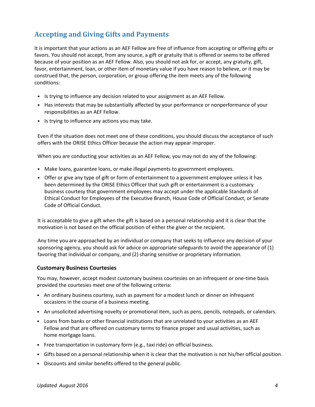## **Accepting and Giving Gifts and Payments**

It is important that your actions as an AEF Fellow are free of influence from accepting or offering gifts or favors. You should not accept, from any source, a gift or gratuity that is offered or seems to be offered because of your position as an AEF Fellow. Also, you should not ask for, or accept, any gratuity, gift, favor, entertainment, loan, or other item of monetary value if you have reason to believe, or it may be construed that, the person, corporation, or group offering the item meets any of the following conditions:

- Is trying to influence any decision related to your assignment as an AEF Fellow.
- Has interests that may be substantially affected by your performance or nonperformance of your responsibilities as an AEF Fellow.
- Is trying to influence any actions you may take.

Even if the situation does not meet one of these conditions, you should discuss the acceptance of such offers with the ORISE Ethics Officer because the action may appear improper.

When you are conducting your activities as an AEF Fellow, you may not do any of the following:

- Make loans, guarantee loans, or make illegal payments to government employees.
- Offer or give any type of gift or form of entertainment to a government employee unless it has been determined by the ORISE Ethics Officer that such gift or entertainment is a customary business courtesy that government employees may accept under the applicable Standards of Ethical Conduct for Employees of the Executive Branch, House Code of Official Conduct, or Senate Code of Official Conduct.

It is acceptable to give a gift when the gift is based on a personal relationship and it is clear that the motivation is not based on the official position of either the giver or the recipient.

Any time you are approached by an individual or company that seeks to influence any decision of your sponsoring agency, you should ask for advice on appropriate safeguards to avoid the appearance of (1) favoring that individual or company, and (2) sharing sensitive or proprietary information.

#### **Customary Business Courtesies**

You may, however, accept modest customary business courtesies on an infrequent or one-time basis provided the courtesies meet one of the following criteria:

- An ordinary business courtesy, such as payment for a modest lunch or dinner on infrequent occasions in the course of a business meeting.
- An unsolicited advertising novelty or promotional item, such as pens, pencils, notepads, or calendars.
- Loans from banks or other financial institutions that are unrelated to your activities as an AEF Fellow and that are offered on customary terms to finance proper and usual activities, such as home mortgage loans.
- Free transportation in customary form (e.g., taxi ride) on official business.
- Gifts based on a personal relationship when it is clear that the motivation is not his/her official position.
- Discounts and similar benefits offered to the general public.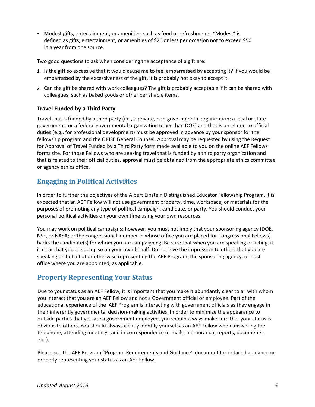• Modest gifts, entertainment, or amenities, such as food or refreshments. "Modest" is defined as gifts, entertainment, or amenities of \$20 or less per occasion not to exceed \$50 in a year from one source.

Two good questions to ask when considering the acceptance of a gift are:

- 1. Is the gift so excessive that it would cause me to feel embarrassed by accepting it? If you would be embarrassed by the excessiveness of the gift, it is probably not okay to accept it.
- 2. Can the gift be shared with work colleagues? The gift is probably acceptable if it can be shared with colleagues, such as baked goods or other perishable items.

#### **Travel Funded by a Third Party**

Travel that is funded by a third party (i.e., a private, non-governmental organization; a local or state government; or a federal governmental organization other than DOE) and that is unrelated to official duties (e.g., for professional development) must be approved in advance by your sponsor for the fellowship program and the ORISE General Counsel. Approval may be requested by using the Request for Approval of Travel Funded by a Third Party form made available to you on the online AEF Fellows forms site. For those Fellows who are seeking travel that is funded by a third party organization and that is related to their official duties, approval must be obtained from the appropriate ethics committee or agency ethics office.

#### **Engaging in Political Activities**

In order to further the objectives of the Albert Einstein Distinguished Educator Fellowship Program, it is expected that an AEF Fellow will not use government property, time, workspace, or materials for the purposes of promoting any type of political campaign, candidate, or party. You should conduct your personal political activities on your own time using your own resources.

You may work on political campaigns; however, you must not imply that your sponsoring agency (DOE, NSF, or NASA; or the congressional member in whose office you are placed for Congressional Fellows) backs the candidate(s) for whom you are campaigning. Be sure that when you are speaking or acting, it is clear that you are doing so on your own behalf. Do not give the impression to others that you are speaking on behalf of or otherwise representing the AEF Program, the sponsoring agency, or host office where you are appointed, as applicable.

## **Properly Representing Your Status**

Due to your status as an AEF Fellow, it is important that you make it abundantly clear to all with whom you interact that you are an AEF Fellow and not a Government official or employee. Part of the educational experience of the AEF Program is interacting with government officials as they engage in their inherently governmental decision-making activities. In order to minimize the appearance to outside parties that you are a government employee, you should always make sure that your status is obvious to others. You should always clearly identify yourself as an AEF Fellow when answering the telephone, attending meetings, and in correspondence (e-mails, memoranda, reports, documents, etc.).

Please see the AEF Program "Program Requirements and Guidance" document for detailed guidance on properly representing your status as an AEF Fellow.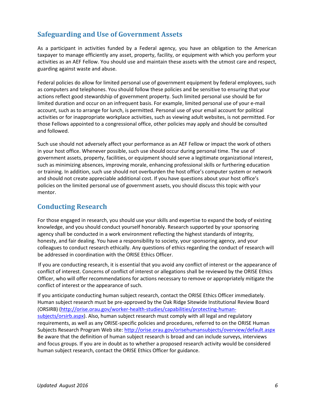### **Safeguarding and Use of Government Assets**

As a participant in activities funded by a Federal agency, you have an obligation to the American taxpayer to manage efficiently any asset, property, facility, or equipment with which you perform your activities as an AEF Fellow. You should use and maintain these assets with the utmost care and respect, guarding against waste and abuse.

Federal policies do allow for limited personal use of government equipment by federal employees, such as computers and telephones. You should follow these policies and be sensitive to ensuring that your actions reflect good stewardship of government property. Such limited personal use should be for limited duration and occur on an infrequent basis. For example, limited personal use of your e-mail account, such as to arrange for lunch, is permitted. Personal use of your email account for political activities or for inappropriate workplace activities, such as viewing adult websites, is not permitted. For those Fellows appointed to a congressional office, other policies may apply and should be consulted and followed.

Such use should not adversely affect your performance as an AEF Fellow or impact the work of others in your host office. Whenever possible, such use should occur during personal time. The use of government assets, property, facilities, or equipment should serve a legitimate organizational interest, such as minimizing absences, improving morale, enhancing professional skills or furthering education or training. In addition, such use should not overburden the host office's computer system or network and should not create appreciable additional cost. If you have questions about your host office's policies on the limited personal use of government assets, you should discuss this topic with your mentor.

#### **Conducting Research**

For those engaged in research, you should use your skills and expertise to expand the body of existing knowledge, and you should conduct yourself honorably. Research supported by your sponsoring agency shall be conducted in a work environment reflecting the highest standards of integrity, honesty, and fair dealing. You have a responsibility to society, your sponsoring agency, and your colleagues to conduct research ethically. Any questions of ethics regarding the conduct of research will be addressed in coordination with the ORISE Ethics Officer.

If you are conducting research, it is essential that you avoid any conflict of interest or the appearance of conflict of interest. Concerns of conflict of interest or allegations shall be reviewed by the ORISE Ethics Officer, who will offer recommendations for actions necessary to remove or appropriately mitigate the conflict of interest or the appearance of such.

If you anticipate conducting human subject research, contact the ORISE Ethics Officer immediately. Human subject research must be pre-approved by the Oak Ridge Sitewide Institutional Review Board (ORSIRB) [\(http://orise.orau.gov/worker-health-studies/capabilities/protecting-human](http://orise.orau.gov/worker-health-studies/capabilities/protecting-human-subjects/orsirb.aspx)[subjects/orsirb.aspx\)](http://orise.orau.gov/worker-health-studies/capabilities/protecting-human-subjects/orsirb.aspx). Also, human subject research must comply with all legal and regulatory requirements, as well as any ORISE-specific policies and procedures, referred to on the ORISE Human Subjects Research Program Web site:<http://orise.orau.gov/orisehumansubjects/overview/default.aspx> Be aware that the definition of human subject research is broad and can include surveys, interviews and focus groups. If you are in doubt as to whether a proposed research activity would be considered human subject research, contact the ORISE Ethics Officer for guidance.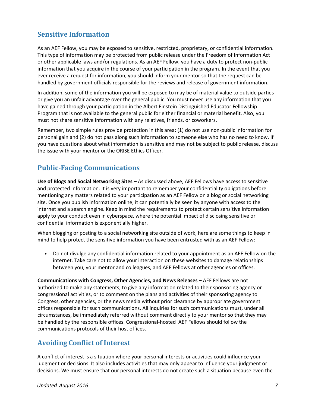### **Sensitive Information**

As an AEF Fellow, you may be exposed to sensitive, restricted, proprietary, or confidential information. This type of information may be protected from public release under the Freedom of Information Act or other applicable laws and/or regulations. As an AEF Fellow, you have a duty to protect non-public information that you acquire in the course of your participation in the program. In the event that you ever receive a request for information, you should inform your mentor so that the request can be handled by government officials responsible for the reviews and release of government information.

In addition, some of the information you will be exposed to may be of material value to outside parties or give you an unfair advantage over the general public. You must never use any information that you have gained through your participation in the Albert Einstein Distinguished Educator Fellowship Program that is not available to the general public for either financial or material benefit. Also, you must not share sensitive information with any relatives, friends, or coworkers.

Remember, two simple rules provide protection in this area: (1) do not use non-public information for personal gain and (2) do not pass along such information to someone else who has no need to know. If you have questions about what information is sensitive and may not be subject to public release, discuss the issue with your mentor or the ORISE Ethics Officer.

## **Public-Facing Communications**

**Use of Blogs and Social Networking Sites –** As discussed above, AEF Fellows have access to sensitive and protected information. It is very important to remember your confidentiality obligations before mentioning any matters related to your participation as an AEF Fellow on a blog or social networking site. Once you publish information online, it can potentially be seen by anyone with access to the internet and a search engine. Keep in mind the requirements to protect certain sensitive information apply to your conduct even in cyberspace, where the potential impact of disclosing sensitive or confidential information is exponentially higher.

When blogging or posting to a social networking site outside of work, here are some things to keep in mind to help protect the sensitive information you have been entrusted with as an AEF Fellow:

• Do not divulge any confidential information related to your appointment as an AEF Fellow on the internet. Take care not to allow your interaction on these websites to damage relationships between you, your mentor and colleagues, and AEF Fellows at other agencies or offices.

**Communications with Congress, Other Agencies, and News Releases –** AEF Fellows are not authorized to make any statements, to give any information related to their sponsoring agency or congressional activities, or to comment on the plans and activities of their sponsoring agency to Congress, other agencies, or the news media without prior clearance by appropriate government offices responsible for such communications. All inquiries for such communications must, under all circumstances, be immediately referred without comment directly to your mentor so that they may be handled by the responsible offices. Congressional-hosted AEF Fellows should follow the communications protocols of their host offices.

## **Avoiding Conflict of Interest**

A conflict of interest is a situation where your personal interests or activities could influence your judgment or decisions. It also includes activities that may only appear to influence your judgment or decisions. We must ensure that our personal interests do not create such a situation because even the